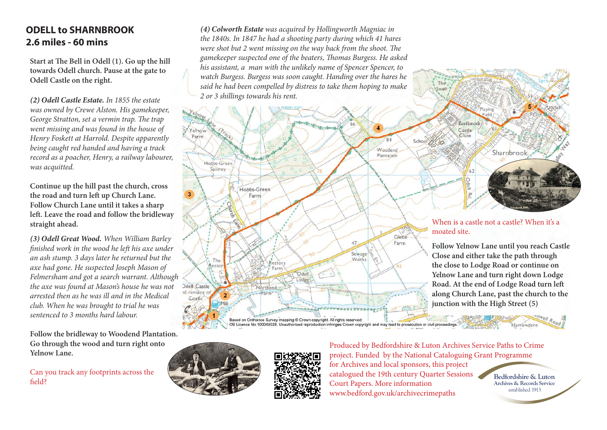## **ODELL to SHARNBROOK 2.6 miles - 60 mins**

**Start at The Bell in Odell (1). Go up the hill towards Odell church. Pause at the gate to Odell Castle on the right.**

*(2) Odell Castle Estate. In 1855 the estate was owned by Crewe Alston. His gamekeeper, George Stratton, set a vermin trap. The trap went missing and was found in the house of Henry Foskett at Harrold. Despite apparently being caught red handed and having a track record as a poacher, Henry, a railway labourer, was acquitted.*

**Continue up the hill past the church, cross the road and turn left up Church Lane. Follow Church Lane until it takes a sharp left. Leave the road and follow the bridleway straight ahead.**

*(3) Odell Great Wood. When William Barley finished work in the wood he left his axe under an ash stump. 3 days later he returned but the axe had gone. He suspected Joseph Mason of Felmersham and got a search warrant. Although the axe was found at Mason's house he was not arrested then as he was ill and in the Medical club. When he was brought to trial he was sentenced to 3 months hard labour.*

**Follow the bridleway to Woodend Plantation. Go through the wood and turn right onto Yelnow Lane.**

Can you track any footprints across the field?

*(4) Colworth Estate was acquired by Hollingworth Magniac in the 1840s. In 1847 he had a shooting party during which 41 hares were shot but 2 went missing on the way back from the shoot. The gamekeeper suspected one of the beaters, Thomas Burgess. He asked his assistant, a man with the unlikely name of Spencer Spencer, to watch Burgess. Burgess was soon caught. Handing over the hares he said he had been compelled by distress to take them hoping to make 2 or 3 shillings towards his rent.*





Produced by Bedfordshire & Luton Archives Service Paths to Crime project. Funded by the National Cataloguing Grant Programme for Archives and local sponsors, this project catalogued the 19th century Quarter Sessions Court Papers. More information www.bedford.gov.uk/archivecrimepaths

moated site.

**Archives & Records Service Bedfordshire & Luton** established 1913

darrowde

When is a castle not a castle? When it's a

Playing

Earthwork

 $62$ Odell

 $\frac{1}{2}$ 

Castle

 $C|_{\Omega$ 

**junction with the High Street (5)**

**Follow Yelnow Lane until you reach Castle Close and either take the path through the close to Lodge Road or continue on Yelnow Lane and turn right down Lodge Road. At the end of Lodge Road turn left along Church Lane, past the church to the** 

Sharnbrook